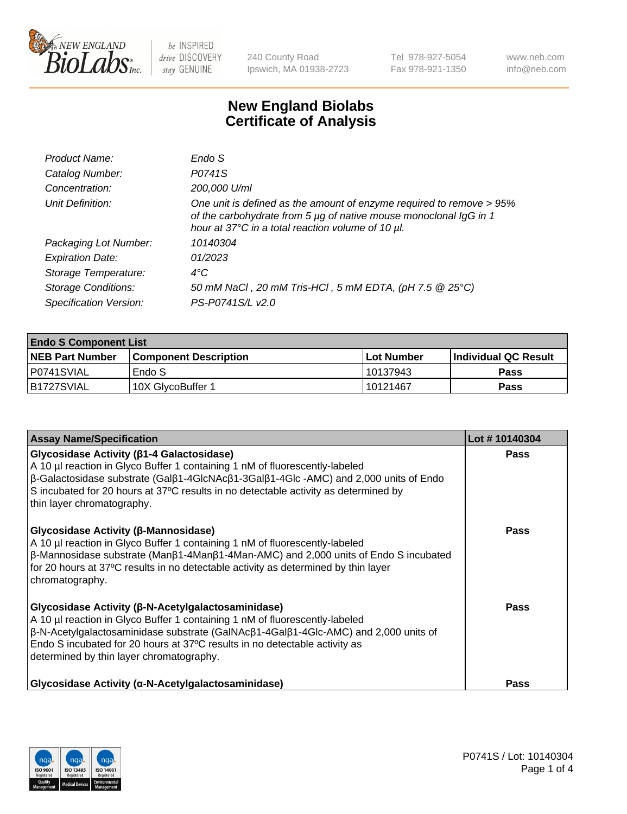

240 County Road Ipswich, MA 01938-2723 Tel 978-927-5054 Fax 978-921-1350 www.neb.com info@neb.com

## **New England Biolabs Certificate of Analysis**

| Product Name:              | Endo S                                                                                                                                                                                         |
|----------------------------|------------------------------------------------------------------------------------------------------------------------------------------------------------------------------------------------|
| Catalog Number:            | P0741S                                                                                                                                                                                         |
| Concentration:             | 200,000 U/ml                                                                                                                                                                                   |
| Unit Definition:           | One unit is defined as the amount of enzyme required to remove > 95%<br>of the carbohydrate from 5 µg of native mouse monoclonal IgG in 1<br>hour at 37°C in a total reaction volume of 10 µl. |
| Packaging Lot Number:      | 10140304                                                                                                                                                                                       |
| <b>Expiration Date:</b>    | 01/2023                                                                                                                                                                                        |
| Storage Temperature:       | $4^{\circ}$ C                                                                                                                                                                                  |
| <b>Storage Conditions:</b> | 50 mM NaCl, 20 mM Tris-HCl, 5 mM EDTA, (pH 7.5 @ 25°C)                                                                                                                                         |
| Specification Version:     | PS-P0741S/L v2.0                                                                                                                                                                               |
|                            |                                                                                                                                                                                                |

| <b>Endo S Component List</b> |                         |              |                             |  |  |
|------------------------------|-------------------------|--------------|-----------------------------|--|--|
| <b>NEB Part Number</b>       | l Component Description | l Lot Number | <b>Individual QC Result</b> |  |  |
| P0741SVIAL                   | Endo S                  | 10137943     | <b>Pass</b>                 |  |  |
| IB1727SVIAL                  | 10X GlycoBuffer 1       | l 10121467   | Pass                        |  |  |

| <b>Assay Name/Specification</b>                                                                                                                                                                                                                                                                                                                                           | Lot #10140304 |
|---------------------------------------------------------------------------------------------------------------------------------------------------------------------------------------------------------------------------------------------------------------------------------------------------------------------------------------------------------------------------|---------------|
| <b>Glycosidase Activity (β1-4 Galactosidase)</b><br>A 10 µl reaction in Glyco Buffer 1 containing 1 nM of fluorescently-labeled<br>$\beta$ -Galactosidase substrate (Galβ1-4GlcNAcβ1-3Galβ1-4Glc -AMC) and 2,000 units of Endo<br>S incubated for 20 hours at 37°C results in no detectable activity as determined by<br>thin layer chromatography.                       | <b>Pass</b>   |
| Glycosidase Activity (β-Mannosidase)<br>A 10 µl reaction in Glyco Buffer 1 containing 1 nM of fluorescently-labeled<br>$\beta$ -Mannosidase substrate (Man $\beta$ 1-4Man $\beta$ 1-4Man-AMC) and 2,000 units of Endo S incubated<br>for 20 hours at 37°C results in no detectable activity as determined by thin layer<br>chromatography.                                | <b>Pass</b>   |
| Glycosidase Activity (β-N-Acetylgalactosaminidase)<br>A 10 µl reaction in Glyco Buffer 1 containing 1 nM of fluorescently-labeled<br>$\beta$ -N-Acetylgalactosaminidase substrate (GalNAc $\beta$ 1-4Gal $\beta$ 1-4Glc-AMC) and 2,000 units of<br>Endo S incubated for 20 hours at 37°C results in no detectable activity as<br>determined by thin layer chromatography. | Pass          |
| Glycosidase Activity (α-N-Acetylgalactosaminidase)                                                                                                                                                                                                                                                                                                                        | <b>Pass</b>   |

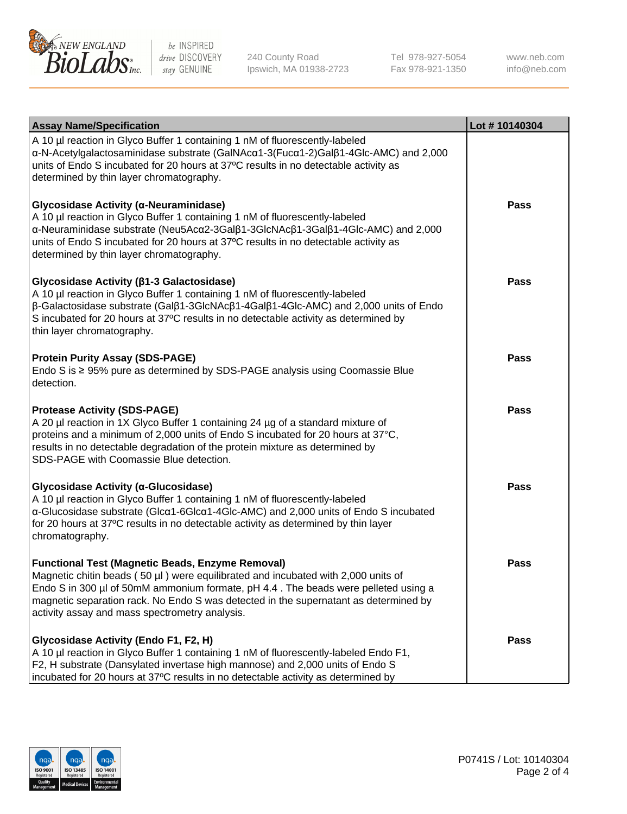

240 County Road Ipswich, MA 01938-2723 Tel 978-927-5054 Fax 978-921-1350

www.neb.com info@neb.com

| <b>Assay Name/Specification</b>                                                                                                                                                                                                                                                                                                                                                   | Lot #10140304 |
|-----------------------------------------------------------------------------------------------------------------------------------------------------------------------------------------------------------------------------------------------------------------------------------------------------------------------------------------------------------------------------------|---------------|
| A 10 µl reaction in Glyco Buffer 1 containing 1 nM of fluorescently-labeled<br>α-N-Acetylgalactosaminidase substrate (GalNAcα1-3(Fucα1-2)Galβ1-4Glc-AMC) and 2,000<br>units of Endo S incubated for 20 hours at 37°C results in no detectable activity as<br>determined by thin layer chromatography.                                                                             |               |
| Glycosidase Activity (α-Neuraminidase)<br>A 10 µl reaction in Glyco Buffer 1 containing 1 nM of fluorescently-labeled<br>α-Neuraminidase substrate (Neu5Acα2-3Galβ1-3GlcNAcβ1-3Galβ1-4Glc-AMC) and 2,000<br>units of Endo S incubated for 20 hours at 37°C results in no detectable activity as<br>determined by thin layer chromatography.                                       | <b>Pass</b>   |
| Glycosidase Activity (β1-3 Galactosidase)<br>A 10 µl reaction in Glyco Buffer 1 containing 1 nM of fluorescently-labeled<br>β-Galactosidase substrate (Galβ1-3GlcNAcβ1-4Galβ1-4Glc-AMC) and 2,000 units of Endo<br>S incubated for 20 hours at 37°C results in no detectable activity as determined by<br>thin layer chromatography.                                              | <b>Pass</b>   |
| <b>Protein Purity Assay (SDS-PAGE)</b><br>Endo S is $\geq$ 95% pure as determined by SDS-PAGE analysis using Coomassie Blue<br>detection.                                                                                                                                                                                                                                         | <b>Pass</b>   |
| <b>Protease Activity (SDS-PAGE)</b><br>A 20 µl reaction in 1X Glyco Buffer 1 containing 24 µg of a standard mixture of<br>proteins and a minimum of 2,000 units of Endo S incubated for 20 hours at 37°C,<br>results in no detectable degradation of the protein mixture as determined by<br>SDS-PAGE with Coomassie Blue detection.                                              | Pass          |
| Glycosidase Activity (α-Glucosidase)<br>A 10 µl reaction in Glyco Buffer 1 containing 1 nM of fluorescently-labeled<br>α-Glucosidase substrate (Glcα1-6Glcα1-4Glc-AMC) and 2,000 units of Endo S incubated<br>for 20 hours at 37°C results in no detectable activity as determined by thin layer<br>chromatography.                                                               | <b>Pass</b>   |
| <b>Functional Test (Magnetic Beads, Enzyme Removal)</b><br>Magnetic chitin beads $(50 \mu l)$ were equilibrated and incubated with 2,000 units of<br>Endo S in 300 µl of 50mM ammonium formate, pH 4.4. The beads were pelleted using a<br>magnetic separation rack. No Endo S was detected in the supernatant as determined by<br>activity assay and mass spectrometry analysis. | <b>Pass</b>   |
| Glycosidase Activity (Endo F1, F2, H)<br>A 10 µl reaction in Glyco Buffer 1 containing 1 nM of fluorescently-labeled Endo F1,<br>F2, H substrate (Dansylated invertase high mannose) and 2,000 units of Endo S<br>incubated for 20 hours at 37°C results in no detectable activity as determined by                                                                               | <b>Pass</b>   |

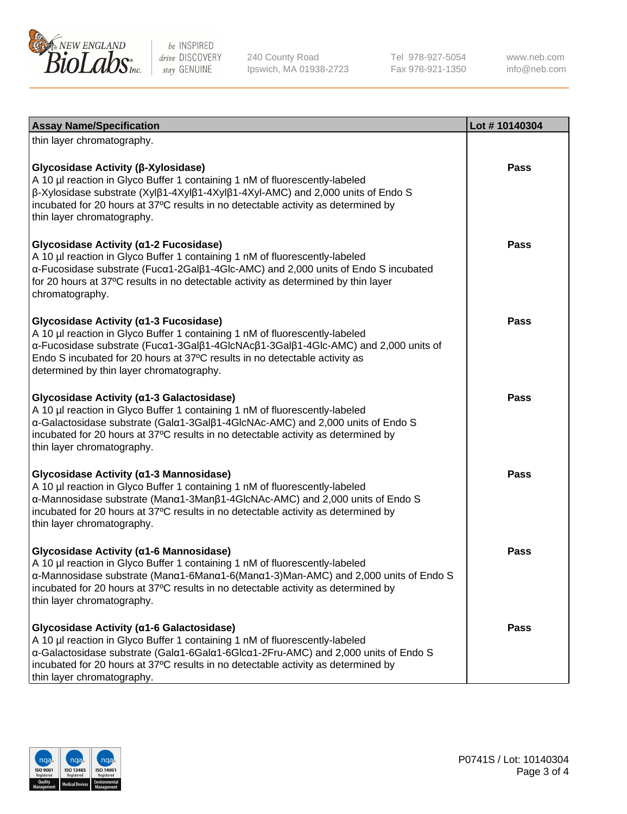

240 County Road Ipswich, MA 01938-2723 Tel 978-927-5054 Fax 978-921-1350

www.neb.com info@neb.com

| <b>Assay Name/Specification</b>                                                                                                                                                                                                                                                                                                                    | Lot #10140304 |
|----------------------------------------------------------------------------------------------------------------------------------------------------------------------------------------------------------------------------------------------------------------------------------------------------------------------------------------------------|---------------|
| thin layer chromatography.                                                                                                                                                                                                                                                                                                                         |               |
| Glycosidase Activity (β-Xylosidase)<br>A 10 µl reaction in Glyco Buffer 1 containing 1 nM of fluorescently-labeled<br>β-Xylosidase substrate (Xylβ1-4Xylβ1-4Xylβ1-4Xyl-AMC) and 2,000 units of Endo S<br>incubated for 20 hours at 37°C results in no detectable activity as determined by<br>thin layer chromatography.                           | <b>Pass</b>   |
| Glycosidase Activity (α1-2 Fucosidase)<br>A 10 µl reaction in Glyco Buffer 1 containing 1 nM of fluorescently-labeled<br>α-Fucosidase substrate (Fucα1-2Galβ1-4Glc-AMC) and 2,000 units of Endo S incubated<br>for 20 hours at 37°C results in no detectable activity as determined by thin layer<br>chromatography.                               | <b>Pass</b>   |
| Glycosidase Activity (α1-3 Fucosidase)<br>A 10 µl reaction in Glyco Buffer 1 containing 1 nM of fluorescently-labeled<br>α-Fucosidase substrate (Fucα1-3Galβ1-4GlcNAcβ1-3Galβ1-4Glc-AMC) and 2,000 units of<br>Endo S incubated for 20 hours at 37°C results in no detectable activity as<br>determined by thin layer chromatography.              | Pass          |
| Glycosidase Activity (α1-3 Galactosidase)<br>A 10 µl reaction in Glyco Buffer 1 containing 1 nM of fluorescently-labeled<br>α-Galactosidase substrate (Galα1-3Galβ1-4GlcNAc-AMC) and 2,000 units of Endo S<br>incubated for 20 hours at 37°C results in no detectable activity as determined by<br>thin layer chromatography.                      | <b>Pass</b>   |
| Glycosidase Activity (α1-3 Mannosidase)<br>A 10 µl reaction in Glyco Buffer 1 containing 1 nM of fluorescently-labeled<br>$\alpha$ -Mannosidase substrate (Man $\alpha$ 1-3Man $\beta$ 1-4GlcNAc-AMC) and 2,000 units of Endo S<br>incubated for 20 hours at 37°C results in no detectable activity as determined by<br>thin layer chromatography. | <b>Pass</b>   |
| Glycosidase Activity (α1-6 Mannosidase)<br>A 10 µl reaction in Glyco Buffer 1 containing 1 nM of fluorescently-labeled<br>α-Mannosidase substrate (Μanα1-6Μanα1-6(Μanα1-3)Man-AMC) and 2,000 units of Endo S<br>incubated for 20 hours at 37°C results in no detectable activity as determined by<br>thin layer chromatography.                    | Pass          |
| Glycosidase Activity (α1-6 Galactosidase)<br>A 10 µl reaction in Glyco Buffer 1 containing 1 nM of fluorescently-labeled<br>α-Galactosidase substrate (Galα1-6Galα1-6Glcα1-2Fru-AMC) and 2,000 units of Endo S<br>incubated for 20 hours at 37°C results in no detectable activity as determined by<br>thin layer chromatography.                  | <b>Pass</b>   |